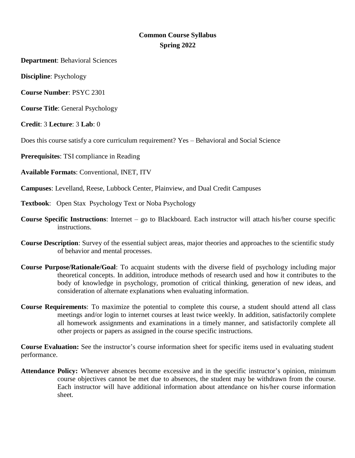# **Common Course Syllabus Spring 2022**

**Department**: Behavioral Sciences

**Discipline**: Psychology

**Course Number**: PSYC 2301

**Course Title**: General Psychology

**Credit**: 3 **Lecture**: 3 **Lab**: 0

Does this course satisfy a core curriculum requirement? Yes – Behavioral and Social Science

**Prerequisites**: TSI compliance in Reading

**Available Formats**: Conventional, INET, ITV

**Campuses**: Levelland, Reese, Lubbock Center, Plainview, and Dual Credit Campuses

**Textbook**: Open Stax Psychology Text or Noba Psychology

- **Course Specific Instructions**: Internet go to Blackboard. Each instructor will attach his/her course specific instructions.
- **Course Description**: Survey of the essential subject areas, major theories and approaches to the scientific study of behavior and mental processes.
- **Course Purpose/Rationale/Goal**: To acquaint students with the diverse field of psychology including major theoretical concepts. In addition, introduce methods of research used and how it contributes to the body of knowledge in psychology, promotion of critical thinking, generation of new ideas, and consideration of alternate explanations when evaluating information.
- **Course Requirements**: To maximize the potential to complete this course, a student should attend all class meetings and/or login to internet courses at least twice weekly. In addition, satisfactorily complete all homework assignments and examinations in a timely manner, and satisfactorily complete all other projects or papers as assigned in the course specific instructions.

**Course Evaluation:** See the instructor's course information sheet for specific items used in evaluating student performance.

**Attendance Policy:** Whenever absences become excessive and in the specific instructor's opinion, minimum course objectives cannot be met due to absences, the student may be withdrawn from the course. Each instructor will have additional information about attendance on his/her course information sheet.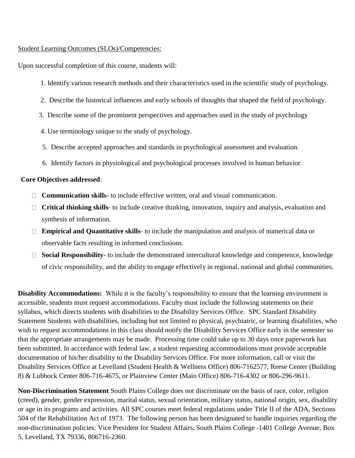## Student Learning Outcomes (SLOs)/Competencies:

Upon successful completion of this course, students will:

- 1. Identify various research methods and their characteristics used in the scientific study of psychology.
- 2. Describe the historical influences and early schools of thoughts that shaped the field of psychology.
- 3. Describe some of the prominent perspectives and approaches used in the study of psychology
- 4. Use terminology unique to the study of psychology.
- 5. Describe accepted approaches and standards in psychological assessment and evaluation.
- 6. Identify factors in physiological and psychological processes involved in human behavior.

## **Core Objectives addressed**:

- **Communication skills** to include effective written, oral and visual communication.
- **Critical thinking skills** to include creative thinking, innovation, inquiry and analysis, evaluation and synthesis of information.
- **Empirical and Quantitative skills** to include the manipulation and analysis of numerical data or observable facts resulting in informed conclusions.
- **Social Responsibility** to include the demonstrated intercultural knowledge and competence, knowledge of civic responsibility, and the ability to engage effectively in regional, national and global communities.

**Disability Accommodations:** While it is the faculty's responsibility to ensure that the learning environment is accessible, students must request accommodations. Faculty must include the following statements on their syllabus, which directs students with disabilities to the Disability Services Office. SPC Standard Disability Statement Students with disabilities, including but not limited to physical, psychiatric, or learning disabilities, who wish to request accommodations in this class should notify the Disability Services Office early in the semester so that the appropriate arrangements may be made. Processing time could take up to 30 days once paperwork has been submitted. In accordance with federal law, a student requesting accommodations must provide acceptable documentation of his/her disability to the Disability Services Office. For more information, call or visit the Disability Services Office at Levelland (Student Health & Wellness Office) 806-7162577, Reese Center (Building 8) & Lubbock Center 806-716-4675, or Plainview Center (Main Office) 806-716-4302 or 806-296-9611.

**Non-Discrimination Statement** South Plains College does not discriminate on the basis of race, color, religion (creed), gender, gender expression, marital status, sexual orientation, military status, national origin, sex, disability or age in its programs and activities. All SPC courses meet federal regulations under Title II of the ADA, Sections 504 of the Rehabilitation Act of 1973. The following person has been designated to handle inquiries regarding the non-discrimination policies: Vice President for Student Affairs, South Plains College -1401 College Avenue, Box 5, Levelland, TX 79336, 806716-2360.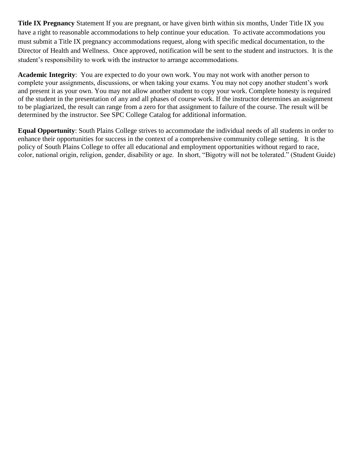**Title IX Pregnancy** Statement If you are pregnant, or have given birth within six months, Under Title IX you have a right to reasonable accommodations to help continue your education. To activate accommodations you must submit a Title IX pregnancy accommodations request, along with specific medical documentation, to the Director of Health and Wellness. Once approved, notification will be sent to the student and instructors. It is the student's responsibility to work with the instructor to arrange accommodations.

**Academic Integrity**: You are expected to do your own work. You may not work with another person to complete your assignments, discussions, or when taking your exams. You may not copy another student's work and present it as your own. You may not allow another student to copy your work. Complete honesty is required of the student in the presentation of any and all phases of course work. If the instructor determines an assignment to be plagiarized, the result can range from a zero for that assignment to failure of the course. The result will be determined by the instructor. See SPC College Catalog for additional information.

**Equal Opportunity**: South Plains College strives to accommodate the individual needs of all students in order to enhance their opportunities for success in the context of a comprehensive community college setting. It is the policy of South Plains College to offer all educational and employment opportunities without regard to race, color, national origin, religion, gender, disability or age. In short, "Bigotry will not be tolerated." (Student Guide)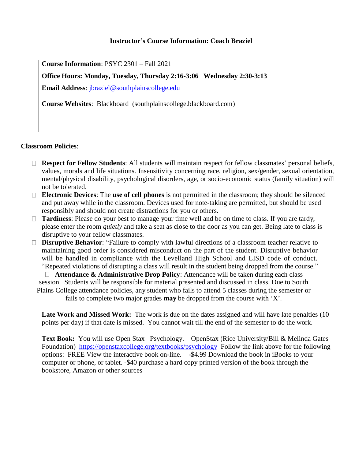## **Instructor's Course Information: Coach Braziel**

**Course Information**: PSYC 2301 – Fall 2021

**Office Hours: Monday, Tuesday, Thursday 2:16-3:06 Wednesday 2:30-3:13 Email Address**: [jbraziel@southplainscollege.edu](mailto:jbraziel@southplainscollege.edu)

**Course Websites**: Blackboard (southplainscollege.blackboard.com)

## **Classroom Policies**:

- **Respect for Fellow Students**: All students will maintain respect for fellow classmates' personal beliefs, values, morals and life situations. Insensitivity concerning race, religion, sex/gender, sexual orientation, mental/physical disability, psychological disorders, age, or socio-economic status (family situation) will not be tolerated.
- **Electronic Devices**: The **use of cell phones** is not permitted in the classroom; they should be silenced and put away while in the classroom. Devices used for note-taking are permitted, but should be used responsibly and should not create distractions for you or others.
- □ **Tardiness**: Please do your best to manage your time well and be on time to class. If you are tardy, please enter the room *quietly* and take a seat as close to the door as you can get. Being late to class is disruptive to your fellow classmates.
- **Disruptive Behavior**: "Failure to comply with lawful directions of a classroom teacher relative to maintaining good order is considered misconduct on the part of the student. Disruptive behavior will be handled in compliance with the Levelland High School and LISD code of conduct. "Repeated violations of disrupting a class will result in the student being dropped from the course."

**Attendance & Administrative Drop Policy**: Attendance will be taken during each class session. Students will be responsible for material presented and discussed in class. Due to South Plains College attendance policies, any student who fails to attend 5 classes during the semester or

fails to complete two major grades **may** be dropped from the course with 'X'.

Late Work and Missed Work: The work is due on the dates assigned and will have late penalties (10) points per day) if that date is missed. You cannot wait till the end of the semester to do the work.

Text Book: You will use Open Stax Psychology. OpenStax (Rice University/Bill & Melinda Gates Foundation) <https://openstaxcollege.org/textbooks/psychology> Follow the link above for the following options: FREE View the interactive book on-line. -\$4.99 Download the book in iBooks to your computer or phone, or tablet. -\$40 purchase a hard copy printed version of the book through the bookstore, Amazon or other sources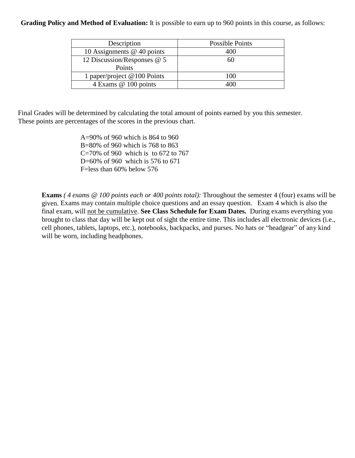## **Grading Policy and Method of Evaluation:** It is possible to earn up to 960 points in this course, as follows:

| Description                  | <b>Possible Points</b> |
|------------------------------|------------------------|
| 10 Assignments $@$ 40 points | 400                    |
| 12 Discussion/Responses @ 5  | 60                     |
| Points                       |                        |
| 1 paper/project @100 Points  | 100                    |
| 4 Exams @ 100 points         |                        |

Final Grades will be determined by calculating the total amount of points earned by you this semester. These points are percentages of the scores in the previous chart.

> A=90% of 960 which is 864 to 960 B=80% of 960 which is 768 to 863 C=70% of 960 which is to 672 to 767 D=60% of 960 which is 576 to 671 F=less than 60% below 576

**Exams** *( 4 exams @ 100 points each or 400 points total):* Throughout the semester 4 (four) exams will be given. Exams may contain multiple choice questions and an essay question. Exam 4 which is also the final exam, will not be cumulative. **See Class Schedule for Exam Dates.** During exams everything you brought to class that day will be kept out of sight the entire time. This includes all electronic devices (i.e., cell phones, tablets, laptops, etc.), notebooks, backpacks, and purses. No hats or "headgear" of any kind will be worn, including headphones.